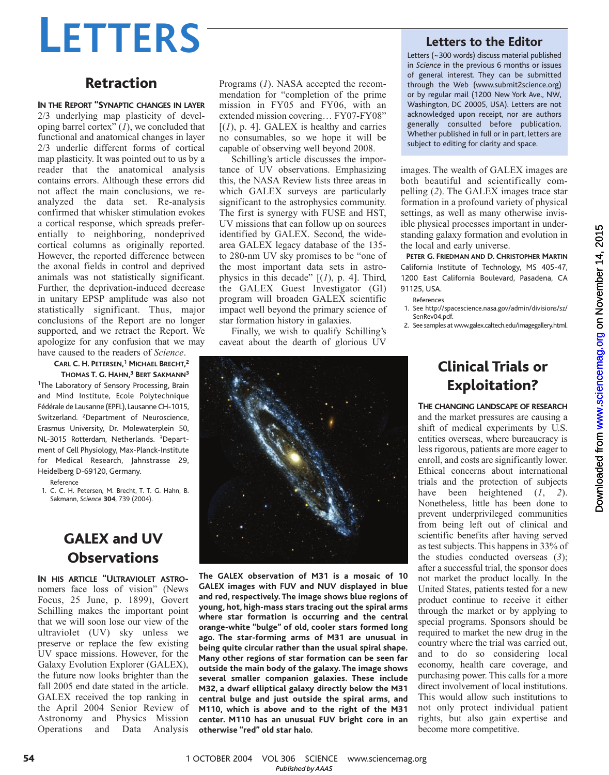# **LETTERS**

## Retraction

**IN THE REPORT "SYNAPTIC CHANGES IN LAYER** 2/3 underlying map plasticity of developing barrel cortex<sup>"</sup>  $(I)$ , we concluded that functional and anatomical changes in layer 2/3 underlie different forms of cortical map plasticity. It was pointed out to us by a reader that the anatomical analysis contains errors. Although these errors did not affect the main conclusions, we reanalyzed the data set. Re-analysis confirmed that whisker stimulation evokes a cortical response, which spreads preferentially to neighboring, nondeprived cortical columns as originally reported. However, the reported difference between the axonal fields in control and deprived animals was not statistically significant. Further, the deprivation-induced decrease in unitary EPSP amplitude was also not statistically significant. Thus, major conclusions of the Report are no longer supported, and we retract the Report. We apologize for any confusion that we may have caused to the readers of *Science*.

**CARL C. H. PETERSEN, <sup>1</sup> MICHAEL BRECHT, 2**

**THOMAS T. G. HAHN, <sup>3</sup> BERT SAKMANN<sup>3</sup>** <sup>1</sup>The Laboratory of Sensory Processing, Brain and Mind Institute, Ecole Polytechnique Fédérale de Lausanne (EPFL), Lausanne CH-1015, Switzerland. <sup>2</sup>Department of Neuroscience, Erasmus University, Dr. Molewaterplein 50, NL-3015 Rotterdam, Netherlands. <sup>3</sup>Department of Cell Physiology, Max-Planck-Institute for Medical Research, Jahnstrasse 29, Heidelberg D-69120, Germany.

Reference

1. C. C. H. Petersen, M. Brecht, T. T. G. Hahn, B. Sakmann, *Science* **304**, 739 (2004).

# GALEX and UV **Observations**

**IN HIS ARTICLE "ULTRAVIOLET ASTRO**nomers face loss of vision" (News Focus, 25 June, p. 1899), Govert Schilling makes the important point that we will soon lose our view of the ultraviolet (UV) sky unless we preserve or replace the few existing UV space missions. However, for the Galaxy Evolution Explorer (GALEX), the future now looks brighter than the fall 2005 end date stated in the article. GALEX received the top ranking in the April 2004 Senior Review of Astronomy and Physics Mission Operations and Data Analysis

Programs (*1*). NASA accepted the recommendation for "completion of the prime mission in FY05 and FY06, with an extended mission covering… FY07-FY08"  $[(1), p. 4]$ . GALEX is healthy and carries no consumables, so we hope it will be capable of observing well beyond 2008.

Schilling's article discusses the importance of UV observations. Emphasizing this, the NASA Review lists three areas in which GALEX surveys are particularly significant to the astrophysics community. The first is synergy with FUSE and HST, UV missions that can follow up on sources identified by GALEX. Second, the widearea GALEX legacy database of the 135 to 280-nm UV sky promises to be "one of the most important data sets in astrophysics in this decade" [(*1*), p. 4]. Third, the GALEX Guest Investigator (GI) program will broaden GALEX scientific impact well beyond the primary science of star formation history in galaxies.

Finally, we wish to qualify Schilling's caveat about the dearth of glorious UV



**The GALEX observation of M31 is a mosaic of 10 GALEX images with FUV and NUV displayed in blue and red, respectively. The image shows blue regions of young, hot, high-mass stars tracing out the spiral arms where star formation is occurring and the central orange-white "bulge" of old, cooler stars formed long ago. The star-forming arms of M31 are unusual in being quite circular rather than the usual spiral shape. Many other regions of star formation can be seen far outside the main body of the galaxy. The image shows several smaller companion galaxies. These include M32, a dwarf elliptical galaxy directly below the M31 central bulge and just outside the spiral arms, and M110, which is above and to the right of the M31 center. M110 has an unusual FUV bright core in an otherwise "red" old star halo.**

### **Letters to the Editor**

Letters (~300 words) discuss material published in *Science* in the previous 6 months or issues of general interest. They can be submitted through the Web (www.submit2science.org) or by regular mail (1200 New York Ave., NW, Washington, DC 20005, USA). Letters are not acknowledged upon receipt, nor are authors generally consulted before publication. Whether published in full or in part, letters are subject to editing for clarity and space.

images. The wealth of GALEX images are both beautiful and scientifically compelling (*2*). The GALEX images trace star formation in a profound variety of physical settings, as well as many otherwise invisible physical processes important in understanding galaxy formation and evolution in the local and early universe.

**PETER G. FRIEDMAN AND D. CHRISTOPHER MARTIN** California Institute of Technology, MS 405-47, 1200 East California Boulevard, Pasadena, CA 91125, USA.

- References 1. See http://spacescience.nasa.gov/admin/divisions/sz/
- SenRev04.pdf.

2. See samples at www.galex.caltech.edu/imagegallery.html.

# Clinical Trials or Exploitation?

**THE CHANGING LANDSCAPE OF RESEARCH** and the market pressures are causing a shift of medical experiments by U.S. entities overseas, where bureaucracy is less rigorous, patients are more eager to enroll, and costs are significantly lower. Ethical concerns about international trials and the protection of subjects have been heightened (*1*, *2*). Nonetheless, little has been done to prevent underprivileged communities from being left out of clinical and scientific benefits after having served as test subjects. This happens in 33% of the studies conducted overseas (*3*); after a successful trial, the sponsor does not market the product locally. In the United States, patients tested for a new product continue to receive it either through the market or by applying to special programs. Sponsors should be required to market the new drug in the country where the trial was carried out, and to do so considering local economy, health care coverage, and purchasing power. This calls for a more direct involvement of local institutions. This would allow such institutions to not only protect individual patient rights, but also gain expertise and become more competitive.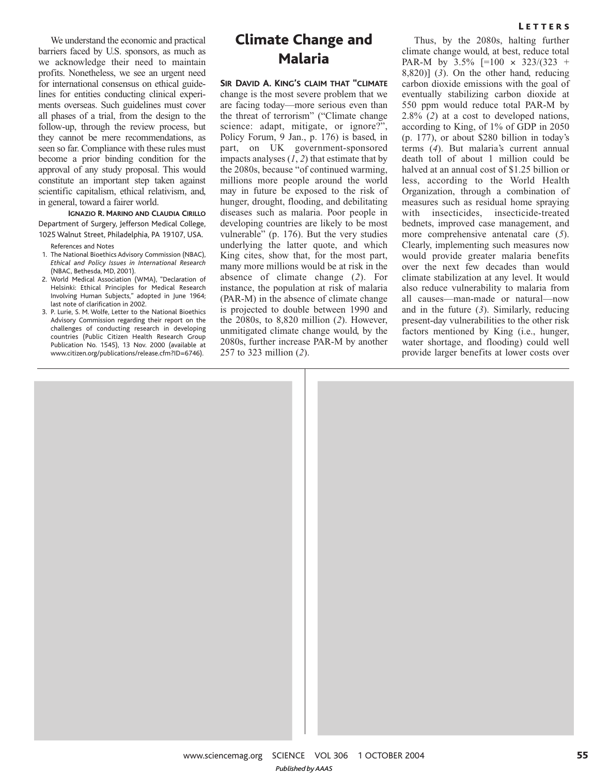We understand the economic and practical barriers faced by U.S. sponsors, as much as we acknowledge their need to maintain profits. Nonetheless, we see an urgent need for international consensus on ethical guidelines for entities conducting clinical experiments overseas. Such guidelines must cover all phases of a trial, from the design to the follow-up, through the review process, but they cannot be mere recommendations, as seen so far. Compliance with these rules must become a prior binding condition for the approval of any study proposal. This would constitute an important step taken against scientific capitalism, ethical relativism, and, in general, toward a fairer world.

**IGNAZIO R. MARINO AND CLAUDIA CIRILLO** Department of Surgery, Jefferson Medical College, 1025 Walnut Street, Philadelphia, PA 19107, USA.

References and Notes

- 1. The National Bioethics Advisory Commission (NBAC), *Ethical and Policy Issues in International Research* (NBAC, Bethesda, MD, 2001).
- 2. World Medical Association (WMA), "Declaration of Helsinki: Ethical Principles for Medical Research Involving Human Subjects," adopted in June 1964; last note of clarification in 2002.
- 3. P. Lurie, S. M. Wolfe, Letter to the National Bioethics Advisory Commission regarding their report on the challenges of conducting research in developing countries (Public Citizen Health Research Group Publication No. 1545), 13 Nov. 2000 (available at www.citizen.org/publications/release.cfm?ID=6746).

## Climate Change and Malaria

**SIR DAVID A. KING'S CLAIM THAT "CLIMATE** change is the most severe problem that we are facing today—more serious even than the threat of terrorism" ("Climate change science: adapt, mitigate, or ignore?", Policy Forum, 9 Jan., p. 176) is based, in part, on UK government-sponsored impacts analyses (*1*, *2*) that estimate that by the 2080s, because "of continued warming, millions more people around the world may in future be exposed to the risk of hunger, drought, flooding, and debilitating diseases such as malaria. Poor people in developing countries are likely to be most vulnerable" (p. 176). But the very studies underlying the latter quote, and which King cites, show that, for the most part, many more millions would be at risk in the absence of climate change (*2*). For instance, the population at risk of malaria (PAR-M) in the absence of climate change is projected to double between 1990 and the 2080s, to 8,820 million (*2*). However, unmitigated climate change would, by the 2080s, further increase PAR-M by another 257 to 323 million (*2*).

#### **LETTERS**

Thus, by the 2080s, halting further climate change would, at best, reduce total PAR-M by 3.5% [=100 × 323/(323 + 8,820)] (*3*). On the other hand, reducing carbon dioxide emissions with the goal of eventually stabilizing carbon dioxide at 550 ppm would reduce total PAR-M by 2.8% (*2*) at a cost to developed nations, according to King, of 1% of GDP in 2050 (p. 177), or about \$280 billion in today's terms (*4*). But malaria's current annual death toll of about 1 million could be halved at an annual cost of \$1.25 billion or less, according to the World Health Organization, through a combination of measures such as residual home spraying with insecticides, insecticide-treated bednets, improved case management, and more comprehensive antenatal care (*5*). Clearly, implementing such measures now would provide greater malaria benefits over the next few decades than would climate stabilization at any level. It would also reduce vulnerability to malaria from all causes—man-made or natural—now and in the future (*3*). Similarly, reducing present-day vulnerabilities to the other risk factors mentioned by King (i.e., hunger, water shortage, and flooding) could well provide larger benefits at lower costs over